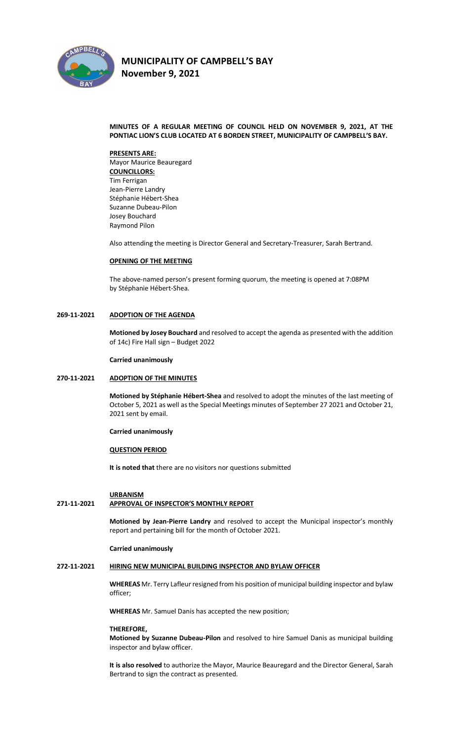

# **MINUTES OF A REGULAR MEETING OF COUNCIL HELD ON NOVEMBER 9, 2021, AT THE PONTIAC LION'S CLUB LOCATED AT 6 BORDEN STREET, MUNICIPALITY OF CAMPBELL'S BAY.**

#### **PRESENTS ARE:**

Mayor Maurice Beauregard **COUNCILLORS:** Tim Ferrigan Jean-Pierre Landry Stéphanie Hébert-Shea Suzanne Dubeau-Pilon Josey Bouchard Raymond Pilon

Also attending the meeting is Director General and Secretary-Treasurer, Sarah Bertrand.

#### **OPENING OF THE MEETING**

The above-named person's present forming quorum, the meeting is opened at 7:08PM by Stéphanie Hébert-Shea.

# **269-11-2021 ADOPTION OF THE AGENDA**

**Motioned by Josey Bouchard** and resolved to accept the agenda as presented with the addition of 14c) Fire Hall sign – Budget 2022

#### **Carried unanimously**

# **270-11-2021 ADOPTION OF THE MINUTES**

**Motioned by Stéphanie Hébert-Shea** and resolved to adopt the minutes of the last meeting of October 5, 2021 as well as the Special Meetings minutes of September 27 2021 and October 21, 2021 sent by email.

#### **Carried unanimously**

## **QUESTION PERIOD**

**It is noted that** there are no visitors nor questions submitted

# **URBANISM**

# **271-11-2021 APPROVAL OF INSPECTOR'S MONTHLY REPORT**

**Motioned by Jean-Pierre Landry** and resolved to accept the Municipal inspector's monthly report and pertaining bill for the month of October 2021.

#### **Carried unanimously**

# **272-11-2021 HIRING NEW MUNICIPAL BUILDING INSPECTOR AND BYLAW OFFICER**

**WHEREAS** Mr. Terry Lafleur resigned from his position of municipal building inspector and bylaw officer;

**WHEREAS** Mr. Samuel Danis has accepted the new position;

#### **THEREFORE,**

**Motioned by Suzanne Dubeau-Pilon** and resolved to hire Samuel Danis as municipal building inspector and bylaw officer.

**It is also resolved** to authorize the Mayor, Maurice Beauregard and the Director General, Sarah Bertrand to sign the contract as presented.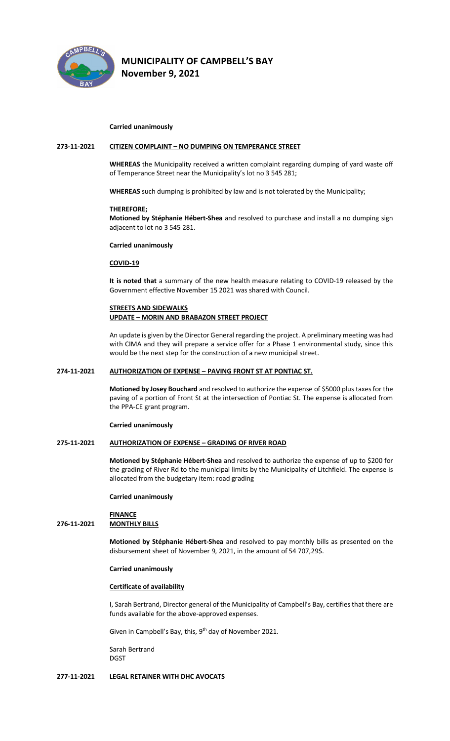

#### **Carried unanimously**

# **273-11-2021 CITIZEN COMPLAINT – NO DUMPING ON TEMPERANCE STREET**

**WHEREAS** the Municipality received a written complaint regarding dumping of yard waste off of Temperance Street near the Municipality's lot no 3 545 281;

**WHEREAS** such dumping is prohibited by law and is not tolerated by the Municipality;

#### **THEREFORE;**

**Motioned by Stéphanie Hébert-Shea** and resolved to purchase and install a no dumping sign adjacent to lot no 3 545 281.

# **Carried unanimously**

#### **COVID-19**

**It is noted that** a summary of the new health measure relating to COVID-19 released by the Government effective November 15 2021 was shared with Council.

# **STREETS AND SIDEWALKS**

# **UPDATE – MORIN AND BRABAZON STREET PROJECT**

An update is given by the Director General regarding the project. A preliminary meeting was had with CIMA and they will prepare a service offer for a Phase 1 environmental study, since this would be the next step for the construction of a new municipal street.

# **274-11-2021 AUTHORIZATION OF EXPENSE – PAVING FRONT ST AT PONTIAC ST.**

**Motioned by Josey Bouchard** and resolved to authorize the expense of \$5000 plus taxes for the paving of a portion of Front St at the intersection of Pontiac St. The expense is allocated from the PPA-CE grant program.

#### **Carried unanimously**

#### **275-11-2021 AUTHORIZATION OF EXPENSE – GRADING OF RIVER ROAD**

**Motioned by Stéphanie Hébert-Shea** and resolved to authorize the expense of up to \$200 for the grading of River Rd to the municipal limits by the Municipality of Litchfield. The expense is allocated from the budgetary item: road grading

# **Carried unanimously**

#### **FINANCE**

#### **276-11-2021 MONTHLY BILLS**

**Motioned by Stéphanie Hébert-Shea** and resolved to pay monthly bills as presented on the disbursement sheet of November 9, 2021, in the amount of 54 707,29\$.

#### **Carried unanimously**

#### **Certificate of availability**

I, Sarah Bertrand, Director general of the Municipality of Campbell's Bay, certifies that there are funds available for the above-approved expenses.

Given in Campbell's Bay, this, 9<sup>th</sup> day of November 2021.

Sarah Bertrand DGST

#### **277-11-2021 LEGAL RETAINER WITH DHC AVOCATS**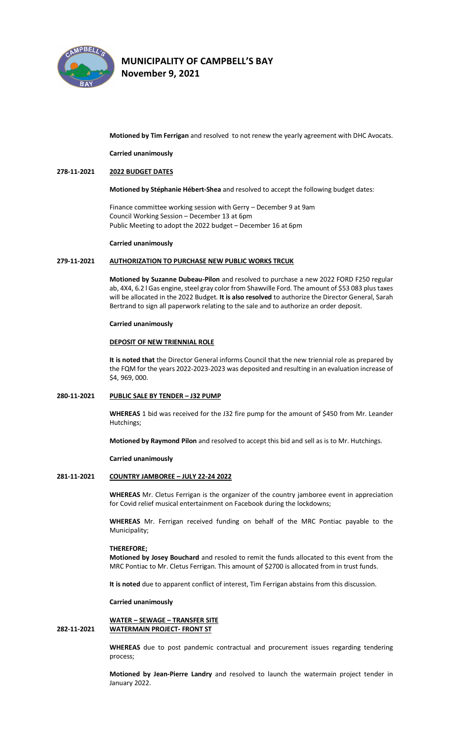

**Motioned by Tim Ferrigan** and resolved to not renew the yearly agreement with DHC Avocats.

**Carried unanimously**

# **278-11-2021 2022 BUDGET DATES**

**Motioned by Stéphanie Hébert-Shea** and resolved to accept the following budget dates:

Finance committee working session with Gerry – December 9 at 9am Council Working Session – December 13 at 6pm Public Meeting to adopt the 2022 budget – December 16 at 6pm

#### **Carried unanimously**

#### **279-11-2021 AUTHORIZATION TO PURCHASE NEW PUBLIC WORKS TRCUK**

**Motioned by Suzanne Dubeau-Pilon** and resolved to purchase a new 2022 FORD F250 regular ab, 4X4, 6.2 l Gas engine, steel gray color from Shawville Ford. The amount of \$53 083 plus taxes will be allocated in the 2022 Budget. **It is also resolved** to authorize the Director General, Sarah Bertrand to sign all paperwork relating to the sale and to authorize an order deposit.

#### **Carried unanimously**

#### **DEPOSIT OF NEW TRIENNIAL ROLE**

**It is noted that** the Director General informs Council that the new triennial role as prepared by the FQM for the years 2022-2023-2023 was deposited and resulting in an evaluation increase of \$4, 969, 000.

#### **280-11-2021 PUBLIC SALE BY TENDER – J32 PUMP**

**WHEREAS** 1 bid was received for the J32 fire pump for the amount of \$450 from Mr. Leander Hutchings;

**Motioned by Raymond Pilon** and resolved to accept this bid and sell as is to Mr. Hutchings.

#### **Carried unanimously**

# **281-11-2021 COUNTRY JAMBOREE – JULY 22-24 2022**

**WHEREAS** Mr. Cletus Ferrigan is the organizer of the country jamboree event in appreciation for Covid relief musical entertainment on Facebook during the lockdowns;

**WHEREAS** Mr. Ferrigan received funding on behalf of the MRC Pontiac payable to the Municipality;

#### **THEREFORE;**

**Motioned by Josey Bouchard** and resoled to remit the funds allocated to this event from the MRC Pontiac to Mr. Cletus Ferrigan. This amount of \$2700 is allocated from in trust funds.

**It is noted** due to apparent conflict of interest, Tim Ferrigan abstains from this discussion.

#### **Carried unanimously**

# **WATER – SEWAGE – TRANSFER SITE 282-11-2021 WATERMAIN PROJECT- FRONT ST**

**WHEREAS** due to post pandemic contractual and procurement issues regarding tendering process;

**Motioned by Jean-Pierre Landry** and resolved to launch the watermain project tender in January 2022.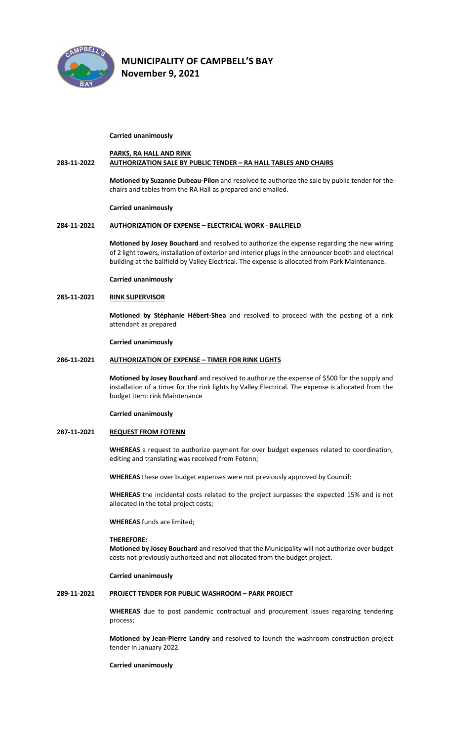

#### **Carried unanimously**

# **PARKS, RA HALL AND RINK 283-11-2022 AUTHORIZATION SALE BY PUBLIC TENDER – RA HALL TABLES AND CHAIRS**

**Motioned by Suzanne Dubeau-Pilon** and resolved to authorize the sale by public tender for the chairs and tables from the RA Hall as prepared and emailed.

#### **Carried unanimously**

# **284-11-2021 AUTHORIZATION OF EXPENSE – ELECTRICAL WORK - BALLFIELD**

**Motioned by Josey Bouchard** and resolved to authorize the expense regarding the new wiring of 2 light towers, installation of exterior and interior plugs in the announcer booth and electrical building at the ballfield by Valley Electrical. The expense is allocated from Park Maintenance.

**Carried unanimously**

# **285-11-2021 RINK SUPERVISOR**

**Motioned by Stéphanie Hébert-Shea** and resolved to proceed with the posting of a rink attendant as prepared

**Carried unanimously**

#### **286-11-2021 AUTHORIZATION OF EXPENSE – TIMER FOR RINK LIGHTS**

**Motioned by Josey Bouchard** and resolved to authorize the expense of \$500 for the supply and installation of a timer for the rink lights by Valley Electrical. The expense is allocated from the budget item: rink Maintenance

# **Carried unanimously**

# **287-11-2021 REQUEST FROM FOTENN**

**WHEREAS** a request to authorize payment for over budget expenses related to coordination, editing and translating was received from Fotenn;

**WHEREAS** these over budget expenses were not previously approved by Council;

**WHEREAS** the incidental costs related to the project surpasses the expected 15% and is not allocated in the total project costs;

**WHEREAS** funds are limited;

#### **THEREFORE:**

**Motioned by Josey Bouchard** and resolved that the Municipality will not authorize over budget costs not previously authorized and not allocated from the budget project.

# **Carried unanimously**

# **289-11-2021 PROJECT TENDER FOR PUBLIC WASHROOM – PARK PROJECT**

**WHEREAS** due to post pandemic contractual and procurement issues regarding tendering process;

**Motioned by Jean-Pierre Landry** and resolved to launch the washroom construction project tender in January 2022.

**Carried unanimously**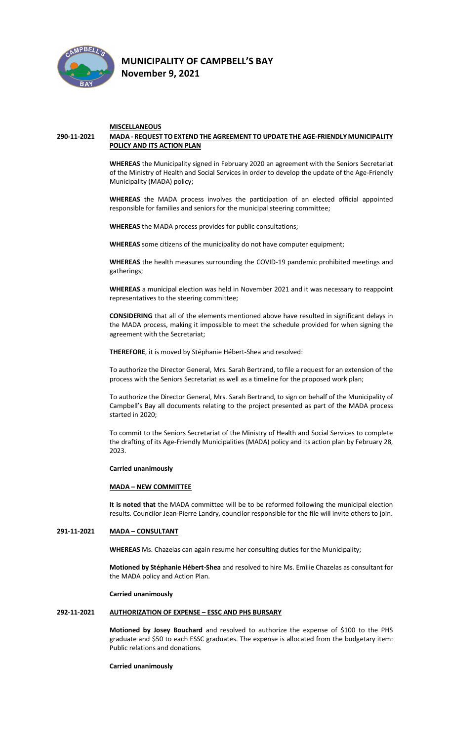

# **MISCELLANEOUS**

# **290-11-2021 MADA - REQUEST TO EXTEND THE AGREEMENT TO UPDATE THE AGE-FRIENDLY MUNICIPALITY POLICY AND ITS ACTION PLAN**

**WHEREAS** the Municipality signed in February 2020 an agreement with the Seniors Secretariat of the Ministry of Health and Social Services in order to develop the update of the Age-Friendly Municipality (MADA) policy;

**WHEREAS** the MADA process involves the participation of an elected official appointed responsible for families and seniors for the municipal steering committee;

**WHEREAS** the MADA process provides for public consultations;

**WHEREAS** some citizens of the municipality do not have computer equipment;

**WHEREAS** the health measures surrounding the COVID-19 pandemic prohibited meetings and gatherings;

**WHEREAS** a municipal election was held in November 2021 and it was necessary to reappoint representatives to the steering committee;

**CONSIDERING** that all of the elements mentioned above have resulted in significant delays in the MADA process, making it impossible to meet the schedule provided for when signing the agreement with the Secretariat;

**THEREFORE**, it is moved by Stéphanie Hébert-Shea and resolved:

To authorize the Director General, Mrs. Sarah Bertrand, to file a request for an extension of the process with the Seniors Secretariat as well as a timeline for the proposed work plan;

To authorize the Director General, Mrs. Sarah Bertrand, to sign on behalf of the Municipality of Campbell's Bay all documents relating to the project presented as part of the MADA process started in 2020;

To commit to the Seniors Secretariat of the Ministry of Health and Social Services to complete the drafting of its Age-Friendly Municipalities (MADA) policy and its action plan by February 28, 2023.

#### **Carried unanimously**

# **MADA – NEW COMMITTEE**

**It is noted that** the MADA committee will be to be reformed following the municipal election results. Councilor Jean-Pierre Landry, councilor responsible for the file will invite others to join.

# **291-11-2021 MADA – CONSULTANT**

**WHEREAS** Ms. Chazelas can again resume her consulting duties for the Municipality;

**Motioned by Stéphanie Hébert-Shea** and resolved to hire Ms. Emilie Chazelas as consultant for the MADA policy and Action Plan.

**Carried unanimously**

#### **292-11-2021 AUTHORIZATION OF EXPENSE – ESSC AND PHS BURSARY**

**Motioned by Josey Bouchard** and resolved to authorize the expense of \$100 to the PHS graduate and \$50 to each ESSC graduates. The expense is allocated from the budgetary item: Public relations and donations.

#### **Carried unanimously**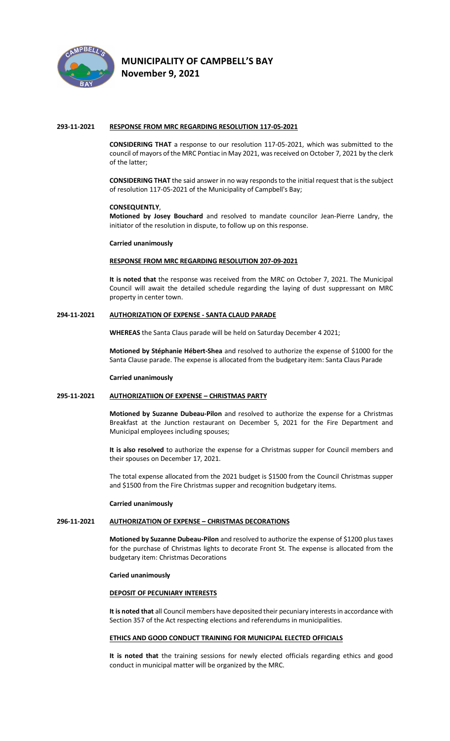

# **MUNICIPALITY OF CAMPBELL'S BAY**

**November 9, 2021** 

# **293-11-2021 RESPONSE FROM MRC REGARDING RESOLUTION 117-05-2021**

**CONSIDERING THAT** a response to our resolution 117-05-2021, which was submitted to the council of mayors of the MRC Pontiac in May 2021, was received on October 7, 2021 by the clerk of the latter;

**CONSIDERING THAT** the said answer in no way responds to the initial request that is the subject of resolution 117-05-2021 of the Municipality of Campbell's Bay;

# **CONSEQUENTLY**,

**Motioned by Josey Bouchard** and resolved to mandate councilor Jean-Pierre Landry, the initiator of the resolution in dispute, to follow up on this response.

# **Carried unanimously**

# **RESPONSE FROM MRC REGARDING RESOLUTION 207-09-2021**

**It is noted that** the response was received from the MRC on October 7, 2021. The Municipal Council will await the detailed schedule regarding the laying of dust suppressant on MRC property in center town.

# **294-11-2021 AUTHORIZATION OF EXPENSE - SANTA CLAUD PARADE**

**WHEREAS** the Santa Claus parade will be held on Saturday December 4 2021;

**Motioned by Stéphanie Hébert-Shea** and resolved to authorize the expense of \$1000 for the Santa Clause parade. The expense is allocated from the budgetary item: Santa Claus Parade

#### **Carried unanimously**

# **295-11-2021 AUTHORIZATIION OF EXPENSE – CHRISTMAS PARTY**

**Motioned by Suzanne Dubeau-Pilon** and resolved to authorize the expense for a Christmas Breakfast at the Junction restaurant on December 5, 2021 for the Fire Department and Municipal employees including spouses;

**It is also resolved** to authorize the expense for a Christmas supper for Council members and their spouses on December 17, 2021.

The total expense allocated from the 2021 budget is \$1500 from the Council Christmas supper and \$1500 from the Fire Christmas supper and recognition budgetary items.

#### **Carried unanimously**

# **296-11-2021 AUTHORIZATION OF EXPENSE – CHRISTMAS DECORATIONS**

**Motioned by Suzanne Dubeau-Pilon** and resolved to authorize the expense of \$1200 plus taxes for the purchase of Christmas lights to decorate Front St. The expense is allocated from the budgetary item: Christmas Decorations

#### **Caried unanimously**

#### **DEPOSIT OF PECUNIARY INTERESTS**

**It is noted that** all Council members have deposited their pecuniary interests in accordance with Section 357 of the Act respecting elections and referendums in municipalities.

# **ETHICS AND GOOD CONDUCT TRAINING FOR MUNICIPAL ELECTED OFFICIALS**

**It is noted that** the training sessions for newly elected officials regarding ethics and good conduct in municipal matter will be organized by the MRC.